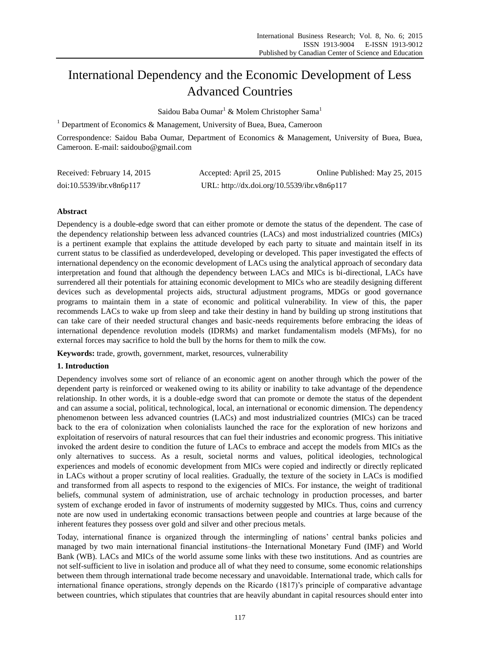# International Dependency and the Economic Development of Less Advanced Countries

Saidou Baba Oumar<sup>1</sup> & Molem Christopher Sama<sup>1</sup>

<sup>1</sup> Department of Economics & Management, University of Buea, Buea, Cameroon

Correspondence: Saidou Baba Oumar, Department of Economics & Management, University of Buea, Buea, Cameroon. E-mail: saidoubo@gmail.com

| Received: February 14, 2015 | Accepted: April 25, 2015                    | Online Published: May 25, 2015 |
|-----------------------------|---------------------------------------------|--------------------------------|
| doi:10.5539/ibr.v8n6p117    | URL: http://dx.doi.org/10.5539/ibr.v8n6p117 |                                |

# **Abstract**

Dependency is a double-edge sword that can either promote or demote the status of the dependent. The case of the dependency relationship between less advanced countries (LACs) and most industrialized countries (MICs) is a pertinent example that explains the attitude developed by each party to situate and maintain itself in its current status to be classified as underdeveloped, developing or developed. This paper investigated the effects of international dependency on the economic development of LACs using the analytical approach of secondary data interpretation and found that although the dependency between LACs and MICs is bi-directional, LACs have surrendered all their potentials for attaining economic development to MICs who are steadily designing different devices such as developmental projects aids, structural adjustment programs, MDGs or good governance programs to maintain them in a state of economic and political vulnerability. In view of this, the paper recommends LACs to wake up from sleep and take their destiny in hand by building up strong institutions that can take care of their needed structural changes and basic-needs requirements before embracing the ideas of international dependence revolution models (IDRMs) and market fundamentalism models (MFMs), for no external forces may sacrifice to hold the bull by the horns for them to milk the cow.

**Keywords:** trade, growth, government, market, resources, vulnerability

## **1. Introduction**

Dependency involves some sort of reliance of an economic agent on another through which the power of the dependent party is reinforced or weakened owing to its ability or inability to take advantage of the dependence relationship. In other words, it is a double-edge sword that can promote or demote the status of the dependent and can assume a social, political, technological, local, an international or economic dimension. The dependency phenomenon between less advanced countries (LACs) and most industrialized countries (MICs) can be traced back to the era of colonization when colonialists launched the race for the exploration of new horizons and exploitation of reservoirs of natural resources that can fuel their industries and economic progress. This initiative invoked the ardent desire to condition the future of LACs to embrace and accept the models from MICs as the only alternatives to success. As a result, societal norms and values, political ideologies, technological experiences and models of economic development from MICs were copied and indirectly or directly replicated in LACs without a proper scrutiny of local realities. Gradually, the texture of the society in LACs is modified and transformed from all aspects to respond to the exigencies of MICs. For instance, the weight of traditional beliefs, communal system of administration, use of archaic technology in production processes, and barter system of exchange eroded in favor of instruments of modernity suggested by MICs. Thus, coins and currency note are now used in undertaking economic transactions between people and countries at large because of the inherent features they possess over gold and silver and other precious metals.

Today, international finance is organized through the intermingling of nations" central banks policies and managed by two main international financial institutions–the International Monetary Fund (IMF) and World Bank (WB). LACs and MICs of the world assume some links with these two institutions. And as countries are not self-sufficient to live in isolation and produce all of what they need to consume, some economic relationships between them through international trade become necessary and unavoidable. International trade, which calls for international finance operations, strongly depends on the Ricardo (1817)"s principle of comparative advantage between countries, which stipulates that countries that are heavily abundant in capital resources should enter into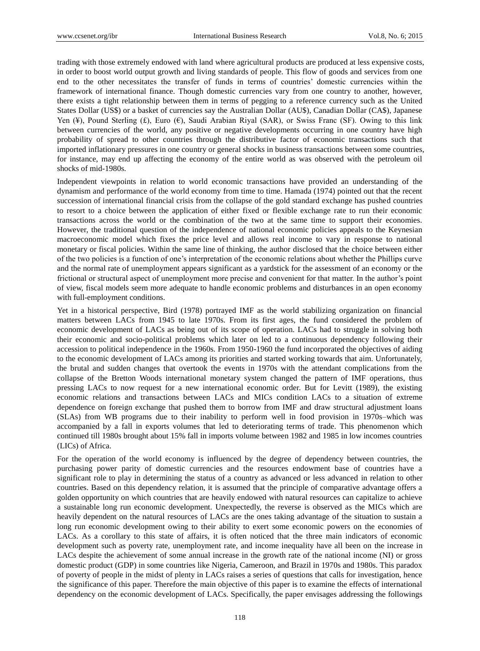trading with those extremely endowed with land where agricultural products are produced at less expensive costs, in order to boost world output growth and living standards of people. This flow of goods and services from one end to the other necessitates the transfer of funds in terms of countries" domestic currencies within the framework of international finance. Though domestic currencies vary from one country to another, however, there exists a tight relationship between them in terms of pegging to a reference currency such as the United States Dollar (US\$) or a basket of currencies say the Australian Dollar (AU\$), Canadian Dollar (CA\$), Japanese Yen (¥), Pound Sterling (£), Euro (€), Saudi Arabian Riyal (SAR), or Swiss Franc (SF). Owing to this link between currencies of the world, any positive or negative developments occurring in one country have high probability of spread to other countries through the distributive factor of economic transactions such that imported inflationary pressures in one country or general shocks in business transactions between some countries, for instance, may end up affecting the economy of the entire world as was observed with the petroleum oil shocks of mid-1980s.

Independent viewpoints in relation to world economic transactions have provided an understanding of the dynamism and performance of the world economy from time to time. Hamada (1974) pointed out that the recent succession of international financial crisis from the collapse of the gold standard exchange has pushed countries to resort to a choice between the application of either fixed or flexible exchange rate to run their economic transactions across the world or the combination of the two at the same time to support their economies. However, the traditional question of the independence of national economic policies appeals to the Keynesian macroeconomic model which fixes the price level and allows real income to vary in response to national monetary or fiscal policies. Within the same line of thinking, the author disclosed that the choice between either of the two policies is a function of one"s interpretation of the economic relations about whether the Phillips curve and the normal rate of unemployment appears significant as a yardstick for the assessment of an economy or the frictional or structural aspect of unemployment more precise and convenient for that matter. In the author"s point of view, fiscal models seem more adequate to handle economic problems and disturbances in an open economy with full-employment conditions.

Yet in a historical perspective, Bird (1978) portrayed IMF as the world stabilizing organization on financial matters between LACs from 1945 to late 1970s. From its first ages, the fund considered the problem of economic development of LACs as being out of its scope of operation. LACs had to struggle in solving both their economic and socio-political problems which later on led to a continuous dependency following their accession to political independence in the 1960s. From 1950-1960 the fund incorporated the objectives of aiding to the economic development of LACs among its priorities and started working towards that aim. Unfortunately, the brutal and sudden changes that overtook the events in 1970s with the attendant complications from the collapse of the Bretton Woods international monetary system changed the pattern of IMF operations, thus pressing LACs to now request for a new international economic order. But for Levitt (1989), the existing economic relations and transactions between LACs and MICs condition LACs to a situation of extreme dependence on foreign exchange that pushed them to borrow from IMF and draw structural adjustment loans (SLAs) from WB programs due to their inability to perform well in food provision in 1970s–which was accompanied by a fall in exports volumes that led to deteriorating terms of trade. This phenomenon which continued till 1980s brought about 15% fall in imports volume between 1982 and 1985 in low incomes countries (LICs) of Africa.

For the operation of the world economy is influenced by the degree of dependency between countries, the purchasing power parity of domestic currencies and the resources endowment base of countries have a significant role to play in determining the status of a country as advanced or less advanced in relation to other countries. Based on this dependency relation, it is assumed that the principle of comparative advantage offers a golden opportunity on which countries that are heavily endowed with natural resources can capitalize to achieve a sustainable long run economic development. Unexpectedly, the reverse is observed as the MICs which are heavily dependent on the natural resources of LACs are the ones taking advantage of the situation to sustain a long run economic development owing to their ability to exert some economic powers on the economies of LACs. As a corollary to this state of affairs, it is often noticed that the three main indicators of economic development such as poverty rate, unemployment rate, and income inequality have all been on the increase in LACs despite the achievement of some annual increase in the growth rate of the national income (NI) or gross domestic product (GDP) in some countries like Nigeria, Cameroon, and Brazil in 1970s and 1980s. This paradox of poverty of people in the midst of plenty in LACs raises a series of questions that calls for investigation, hence the significance of this paper. Therefore the main objective of this paper is to examine the effects of international dependency on the economic development of LACs. Specifically, the paper envisages addressing the followings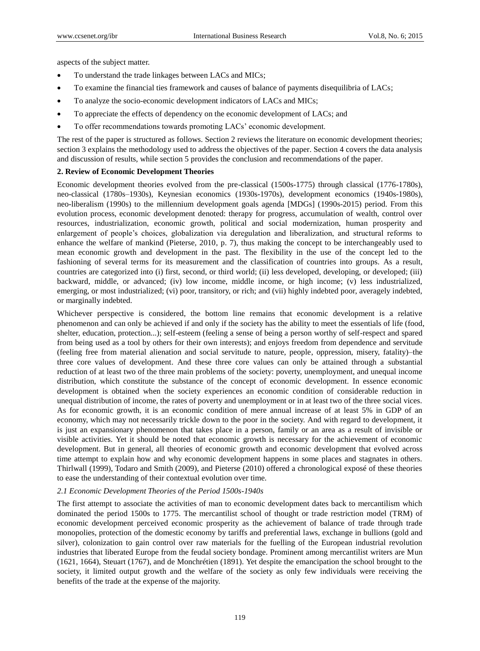aspects of the subject matter.

- To understand the trade linkages between LACs and MICs;
- To examine the financial ties framework and causes of balance of payments disequilibria of LACs;
- To analyze the socio-economic development indicators of LACs and MICs;
- To appreciate the effects of dependency on the economic development of LACs; and
- To offer recommendations towards promoting LACs' economic development.

The rest of the paper is structured as follows. Section 2 reviews the literature on economic development theories; section 3 explains the methodology used to address the objectives of the paper. Section 4 covers the data analysis and discussion of results, while section 5 provides the conclusion and recommendations of the paper.

## **2. Review of Economic Development Theories**

Economic development theories evolved from the pre-classical (1500s-1775) through classical (1776-1780s), neo-classical (1780s–1930s), Keynesian economics (1930s-1970s), development economics (1940s-1980s), neo-liberalism (1990s) to the millennium development goals agenda [MDGs] (1990s-2015) period. From this evolution process, economic development denoted: therapy for progress, accumulation of wealth, control over resources, industrialization, economic growth, political and social modernization, human prosperity and enlargement of people"s choices, globalization via deregulation and liberalization, and structural reforms to enhance the welfare of mankind (Pieterse, 2010, p. 7), thus making the concept to be interchangeably used to mean economic growth and development in the past. The flexibility in the use of the concept led to the fashioning of several terms for its measurement and the classification of countries into groups. As a result, countries are categorized into (i) first, second, or third world; (ii) less developed, developing, or developed; (iii) backward, middle, or advanced; (iv) low income, middle income, or high income; (v) less industrialized, emerging, or most industrialized; (vi) poor, transitory, or rich; and (vii) highly indebted poor, averagely indebted, or marginally indebted.

Whichever perspective is considered, the bottom line remains that economic development is a relative phenomenon and can only be achieved if and only if the society has the ability to meet the essentials of life (food, shelter, education, protection...); self-esteem (feeling a sense of being a person worthy of self-respect and spared from being used as a tool by others for their own interests); and enjoys freedom from dependence and servitude (feeling free from material alienation and social servitude to nature, people, oppression, misery, fatality)–the three core values of development. And these three core values can only be attained through a substantial reduction of at least two of the three main problems of the society: poverty, unemployment, and unequal income distribution, which constitute the substance of the concept of economic development. In essence economic development is obtained when the society experiences an economic condition of considerable reduction in unequal distribution of income, the rates of poverty and unemployment or in at least two of the three social vices. As for economic growth, it is an economic condition of mere annual increase of at least 5% in GDP of an economy, which may not necessarily trickle down to the poor in the society. And with regard to development, it is just an expansionary phenomenon that takes place in a person, family or an area as a result of invisible or visible activities. Yet it should be noted that economic growth is necessary for the achievement of economic development. But in general, all theories of economic growth and economic development that evolved across time attempt to explain how and why economic development happens in some places and stagnates in others. Thirlwall (1999), Todaro and Smith (2009), and Pieterse (2010) offered a chronological exposé of these theories to ease the understanding of their contextual evolution over time.

#### *2.1 Economic Development Theories of the Period 1500s-1940s*

The first attempt to associate the activities of man to economic development dates back to mercantilism which dominated the period 1500s to 1775. The mercantilist school of thought or trade restriction model (TRM) of economic development perceived economic prosperity as the achievement of balance of trade through trade monopolies, protection of the domestic economy by tariffs and preferential laws, exchange in bullions (gold and silver), colonization to gain control over raw materials for the fuelling of the European industrial revolution industries that liberated Europe from the feudal society bondage. Prominent among mercantilist writers are Mun (1621, 1664), Steuart (1767), and de Monchrétien (1891). Yet despite the emancipation the school brought to the society, it limited output growth and the welfare of the society as only few individuals were receiving the benefits of the trade at the expense of the majority.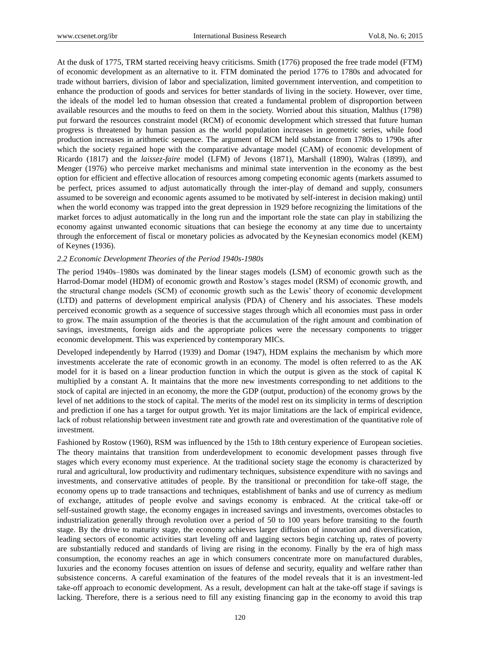At the dusk of 1775, TRM started receiving heavy criticisms. Smith (1776) proposed the free trade model (FTM) of economic development as an alternative to it. FTM dominated the period 1776 to 1780s and advocated for trade without barriers, division of labor and specialization, limited government intervention, and competition to enhance the production of goods and services for better standards of living in the society. However, over time, the ideals of the model led to human obsession that created a fundamental problem of disproportion between available resources and the mouths to feed on them in the society. Worried about this situation, Malthus (1798) put forward the resources constraint model (RCM) of economic development which stressed that future human progress is threatened by human passion as the world population increases in geometric series, while food production increases in arithmetic sequence. The argument of RCM held substance from 1780s to 1790s after which the society regained hope with the comparative advantage model (CAM) of economic development of Ricardo (1817) and the *laissez-faire* model (LFM) of Jevons (1871), Marshall (1890), Walras (1899), and Menger (1976) who perceive market mechanisms and minimal state intervention in the economy as the best option for efficient and effective allocation of resources among competing economic agents (markets assumed to be perfect, prices assumed to adjust automatically through the inter-play of demand and supply, consumers assumed to be sovereign and economic agents assumed to be motivated by self-interest in decision making) until when the world economy was trapped into the great depression in 1929 before recognizing the limitations of the market forces to adjust automatically in the long run and the important role the state can play in stabilizing the economy against unwanted economic situations that can besiege the economy at any time due to uncertainty through the enforcement of fiscal or monetary policies as advocated by the Keynesian economics model (KEM) of Keynes (1936).

#### *2.2 Economic Development Theories of the Period 1940s-1980s*

The period 1940s–1980s was dominated by the linear stages models (LSM) of economic growth such as the Harrod-Domar model (HDM) of economic growth and Rostow"s stages model (RSM) of economic growth, and the structural change models (SCM) of economic growth such as the Lewis" theory of economic development (LTD) and patterns of development empirical analysis (PDA) of Chenery and his associates. These models perceived economic growth as a sequence of successive stages through which all economies must pass in order to grow. The main assumption of the theories is that the accumulation of the right amount and combination of savings, investments, foreign aids and the appropriate polices were the necessary components to trigger economic development. This was experienced by contemporary MICs.

Developed independently by Harrod (1939) and Domar (1947), HDM explains the mechanism by which more investments accelerate the rate of economic growth in an economy. The model is often referred to as the AK model for it is based on a linear production function in which the output is given as the stock of capital K multiplied by a constant A. It maintains that the more new investments corresponding to net additions to the stock of capital are injected in an economy, the more the GDP (output, production) of the economy grows by the level of net additions to the stock of capital. The merits of the model rest on its simplicity in terms of description and prediction if one has a target for output growth. Yet its major limitations are the lack of empirical evidence, lack of robust relationship between investment rate and growth rate and overestimation of the quantitative role of investment.

Fashioned by Rostow (1960), RSM was influenced by the 15th to 18th century experience of European societies. The theory maintains that transition from underdevelopment to economic development passes through five stages which every economy must experience. At the traditional society stage the economy is characterized by rural and agricultural, low productivity and rudimentary techniques, subsistence expenditure with no savings and investments, and conservative attitudes of people. By the transitional or precondition for take-off stage, the economy opens up to trade transactions and techniques, establishment of banks and use of currency as medium of exchange, attitudes of people evolve and savings economy is embraced. At the critical take-off or self-sustained growth stage, the economy engages in increased savings and investments, overcomes obstacles to industrialization generally through revolution over a period of 50 to 100 years before transiting to the fourth stage. By the drive to maturity stage, the economy achieves larger diffusion of innovation and diversification, leading sectors of economic activities start leveling off and lagging sectors begin catching up, rates of poverty are substantially reduced and standards of living are rising in the economy. Finally by the era of high mass consumption, the economy reaches an age in which consumers concentrate more on manufactured durables, luxuries and the economy focuses attention on issues of defense and security, equality and welfare rather than subsistence concerns. A careful examination of the features of the model reveals that it is an investment-led take-off approach to economic development. As a result, development can halt at the take-off stage if savings is lacking. Therefore, there is a serious need to fill any existing financing gap in the economy to avoid this trap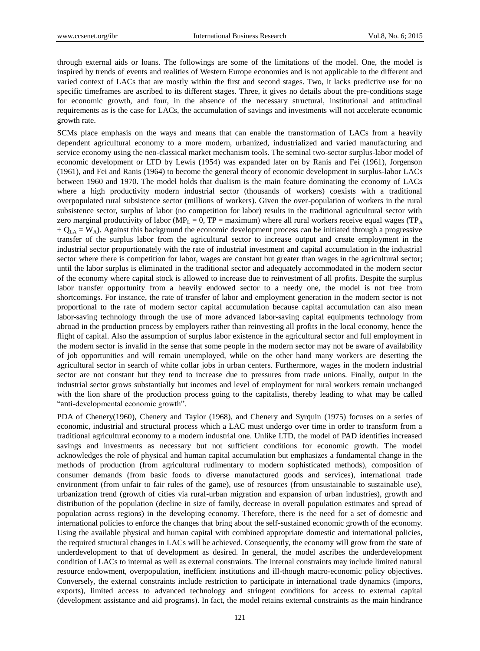through external aids or loans. The followings are some of the limitations of the model. One, the model is inspired by trends of events and realities of Western Europe economies and is not applicable to the different and varied context of LACs that are mostly within the first and second stages. Two, it lacks predictive use for no specific timeframes are ascribed to its different stages. Three, it gives no details about the pre-conditions stage for economic growth, and four, in the absence of the necessary structural, institutional and attitudinal requirements as is the case for LACs, the accumulation of savings and investments will not accelerate economic growth rate.

SCMs place emphasis on the ways and means that can enable the transformation of LACs from a heavily dependent agricultural economy to a more modern, urbanized, industrialized and varied manufacturing and service economy using the neo-classical market mechanism tools. The seminal two-sector surplus-labor model of economic development or LTD by Lewis (1954) was expanded later on by Ranis and Fei (1961), Jorgenson (1961), and Fei and Ranis (1964) to become the general theory of economic development in surplus-labor LACs between 1960 and 1970. The model holds that dualism is the main feature dominating the economy of LACs where a high productivity modern industrial sector (thousands of workers) coexists with a traditional overpopulated rural subsistence sector (millions of workers). Given the over-population of workers in the rural subsistence sector, surplus of labor (no competition for labor) results in the traditional agricultural sector with zero marginal productivity of labor ( $MP<sub>L</sub> = 0$ , TP = maximum) where all rural workers receive equal wages (TP<sub>A</sub>  $\div Q_{LA} = W_A$ ). Against this background the economic development process can be initiated through a progressive transfer of the surplus labor from the agricultural sector to increase output and create employment in the industrial sector proportionately with the rate of industrial investment and capital accumulation in the industrial sector where there is competition for labor, wages are constant but greater than wages in the agricultural sector; until the labor surplus is eliminated in the traditional sector and adequately accommodated in the modern sector of the economy where capital stock is allowed to increase due to reinvestment of all profits. Despite the surplus labor transfer opportunity from a heavily endowed sector to a needy one, the model is not free from shortcomings. For instance, the rate of transfer of labor and employment generation in the modern sector is not proportional to the rate of modern sector capital accumulation because capital accumulation can also mean labor-saving technology through the use of more advanced labor-saving capital equipments technology from abroad in the production process by employers rather than reinvesting all profits in the local economy, hence the flight of capital. Also the assumption of surplus labor existence in the agricultural sector and full employment in the modern sector is invalid in the sense that some people in the modern sector may not be aware of availability of job opportunities and will remain unemployed, while on the other hand many workers are deserting the agricultural sector in search of white collar jobs in urban centers. Furthermore, wages in the modern industrial sector are not constant but they tend to increase due to pressures from trade unions. Finally, output in the industrial sector grows substantially but incomes and level of employment for rural workers remain unchanged with the lion share of the production process going to the capitalists, thereby leading to what may be called "anti-developmental economic growth".

PDA of Chenery(1960), Chenery and Taylor (1968), and Chenery and Syrquin (1975) focuses on a series of economic, industrial and structural process which a LAC must undergo over time in order to transform from a traditional agricultural economy to a modern industrial one. Unlike LTD, the model of PAD identifies increased savings and investments as necessary but not sufficient conditions for economic growth. The model acknowledges the role of physical and human capital accumulation but emphasizes a fundamental change in the methods of production (from agricultural rudimentary to modern sophisticated methods), composition of consumer demands (from basic foods to diverse manufactured goods and services), international trade environment (from unfair to fair rules of the game), use of resources (from unsustainable to sustainable use), urbanization trend (growth of cities via rural-urban migration and expansion of urban industries), growth and distribution of the population (decline in size of family, decrease in overall population estimates and spread of population across regions) in the developing economy. Therefore, there is the need for a set of domestic and international policies to enforce the changes that bring about the self-sustained economic growth of the economy. Using the available physical and human capital with combined appropriate domestic and international policies, the required structural changes in LACs will be achieved. Consequently, the economy will grow from the state of underdevelopment to that of development as desired. In general, the model ascribes the underdevelopment condition of LACs to internal as well as external constraints. The internal constraints may include limited natural resource endowment, overpopulation, inefficient institutions and ill-though macro-economic policy objectives. Conversely, the external constraints include restriction to participate in international trade dynamics (imports, exports), limited access to advanced technology and stringent conditions for access to external capital (development assistance and aid programs). In fact, the model retains external constraints as the main hindrance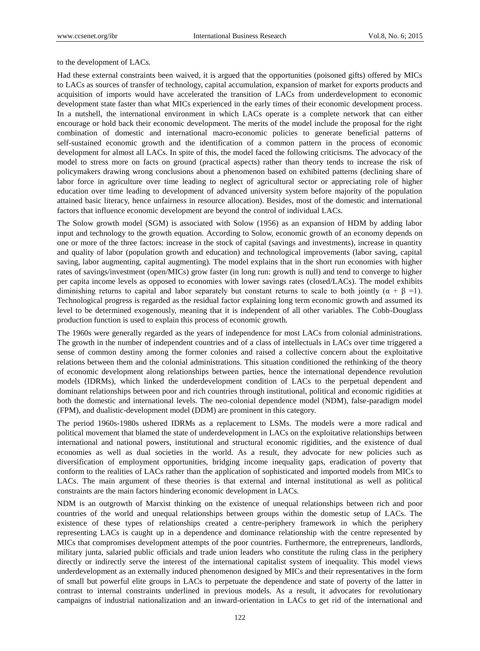to the development of LACs.

Had these external constraints been waived, it is argued that the opportunities (poisoned gifts) offered by MICs to LACs as sources of transfer of technology, capital accumulation, expansion of market for exports products and acquisition of imports would have accelerated the transition of LACs from underdevelopment to economic development state faster than what MICs experienced in the early times of their economic development process. In a nutshell, the international environment in which LACs operate is a complete network that can either encourage or hold back their economic development. The merits of the model include the proposal for the right combination of domestic and international macro-economic policies to generate beneficial patterns of self-sustained economic growth and the identification of a common pattern in the process of economic development for almost all LACs. In spite of this, the model faced the following criticisms. The advocacy of the model to stress more on facts on ground (practical aspects) rather than theory tends to increase the risk of policymakers drawing wrong conclusions about a phenomenon based on exhibited patterns (declining share of labor force in agriculture over time leading to neglect of agricultural sector or appreciating role of higher education over time leading to development of advanced university system before majority of the population attained basic literacy, hence unfairness in resource allocation). Besides, most of the domestic and international factors that influence economic development are beyond the control of individual LACs.

The Solow growth model (SGM) is associated with Solow (1956) as an expansion of HDM by adding labor input and technology to the growth equation. According to Solow, economic growth of an economy depends on one or more of the three factors: increase in the stock of capital (savings and investments), increase in quantity and quality of labor (population growth and education) and technological improvements (labor saving, capital saving, labor augmenting, capital augmenting). The model explains that in the short run economies with higher rates of savings/investment (open/MICs) grow faster (in long run: growth is null) and tend to converge to higher per capita income levels as opposed to economies with lower savings rates (closed/LACs). The model exhibits diminishing returns to capital and labor separately but constant returns to scale to both jointly ( $\alpha + \beta = 1$ ). Technological progress is regarded as the residual factor explaining long term economic growth and assumed its level to be determined exogenously, meaning that it is independent of all other variables. The Cobb-Douglass production function is used to explain this process of economic growth.

The 1960s were generally regarded as the years of independence for most LACs from colonial administrations. The growth in the number of independent countries and of a class of intellectuals in LACs over time triggered a sense of common destiny among the former colonies and raised a collective concern about the exploitative relations between them and the colonial administrations. This situation conditioned the rethinking of the theory of economic development along relationships between parties, hence the international dependence revolution models (IDRMs), which linked the underdevelopment condition of LACs to the perpetual dependent and dominant relationships between poor and rich countries through institutional, political and economic rigidities at both the domestic and international levels. The neo-colonial dependence model (NDM), false-paradigm model (FPM), and dualistic-development model (DDM) are prominent in this category.

The period 1960s-1980s ushered IDRMs as a replacement to LSMs. The models were a more radical and political movement that blamed the state of underdevelopment in LACs on the exploitative relationships between international and national powers, institutional and structural economic rigidities, and the existence of dual economies as well as dual societies in the world. As a result, they advocate for new policies such as diversification of employment opportunities, bridging income inequality gaps, eradication of poverty that conform to the realities of LACs rather than the application of sophisticated and imported models from MICs to LACs. The main argument of these theories is that external and internal institutional as well as political constraints are the main factors hindering economic development in LACs.

NDM is an outgrowth of Marxist thinking on the existence of unequal relationships between rich and poor countries of the world and unequal relationships between groups within the domestic setup of LACs. The existence of these types of relationships created a centre-periphery framework in which the periphery representing LACs is caught up in a dependence and dominance relationship with the centre represented by MICs that compromises development attempts of the poor countries. Furthermore, the entrepreneurs, landlords, military junta, salaried public officials and trade union leaders who constitute the ruling class in the periphery directly or indirectly serve the interest of the international capitalist system of inequality. This model views underdevelopment as an externally induced phenomenon designed by MICs and their representatives in the form of small but powerful elite groups in LACs to perpetuate the dependence and state of poverty of the latter in contrast to internal constraints underlined in previous models. As a result, it advocates for revolutionary campaigns of industrial nationalization and an inward-orientation in LACs to get rid of the international and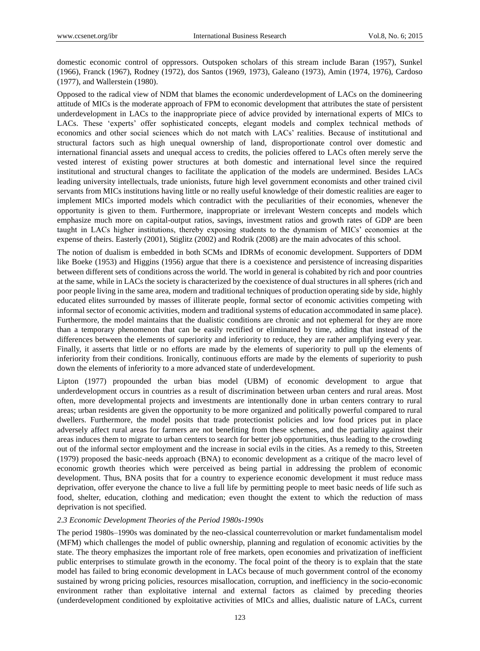domestic economic control of oppressors. Outspoken scholars of this stream include Baran (1957), Sunkel (1966), Franck (1967), Rodney (1972), dos Santos (1969, 1973), Galeano (1973), Amin (1974, 1976), Cardoso (1977), and Wallerstein (1980).

Opposed to the radical view of NDM that blames the economic underdevelopment of LACs on the domineering attitude of MICs is the moderate approach of FPM to economic development that attributes the state of persistent underdevelopment in LACs to the inappropriate piece of advice provided by international experts of MICs to LACs. These "experts" offer sophisticated concepts, elegant models and complex technical methods of economics and other social sciences which do not match with LACs" realities. Because of institutional and structural factors such as high unequal ownership of land, disproportionate control over domestic and international financial assets and unequal access to credits, the policies offered to LACs often merely serve the vested interest of existing power structures at both domestic and international level since the required institutional and structural changes to facilitate the application of the models are undermined. Besides LACs leading university intellectuals, trade unionists, future high level government economists and other trained civil servants from MICs institutions having little or no really useful knowledge of their domestic realities are eager to implement MICs imported models which contradict with the peculiarities of their economies, whenever the opportunity is given to them. Furthermore, inappropriate or irrelevant Western concepts and models which emphasize much more on capital-output ratios, savings, investment ratios and growth rates of GDP are been taught in LACs higher institutions, thereby exposing students to the dynamism of MICs" economies at the expense of theirs. Easterly (2001), Stiglitz (2002) and Rodrik (2008) are the main advocates of this school.

The notion of dualism is embedded in both SCMs and IDRMs of economic development. Supporters of DDM like Boeke (1953) and Higgins (1956) argue that there is a coexistence and persistence of increasing disparities between different sets of conditions across the world. The world in general is cohabited by rich and poor countries at the same, while in LACs the society is characterized by the coexistence of dual structures in all spheres (rich and poor people living in the same area, modern and traditional techniques of production operating side by side, highly educated elites surrounded by masses of illiterate people, formal sector of economic activities competing with informal sector of economic activities, modern and traditional systems of education accommodated in same place). Furthermore, the model maintains that the dualistic conditions are chronic and not ephemeral for they are more than a temporary phenomenon that can be easily rectified or eliminated by time, adding that instead of the differences between the elements of superiority and inferiority to reduce, they are rather amplifying every year. Finally, it asserts that little or no efforts are made by the elements of superiority to pull up the elements of inferiority from their conditions. Ironically, continuous efforts are made by the elements of superiority to push down the elements of inferiority to a more advanced state of underdevelopment.

Lipton (1977) propounded the urban bias model (UBM) of economic development to argue that underdevelopment occurs in countries as a result of discrimination between urban centers and rural areas. Most often, more developmental projects and investments are intentionally done in urban centers contrary to rural areas; urban residents are given the opportunity to be more organized and politically powerful compared to rural dwellers. Furthermore, the model posits that trade protectionist policies and low food prices put in place adversely affect rural areas for farmers are not benefiting from these schemes, and the partiality against their areas induces them to migrate to urban centers to search for better job opportunities, thus leading to the crowding out of the informal sector employment and the increase in social evils in the cities. As a remedy to this, Streeten (1979) proposed the basic-needs approach (BNA) to economic development as a critique of the macro level of economic growth theories which were perceived as being partial in addressing the problem of economic development. Thus, BNA posits that for a country to experience economic development it must reduce mass deprivation, offer everyone the chance to live a full life by permitting people to meet basic needs of life such as food, shelter, education, clothing and medication; even thought the extent to which the reduction of mass deprivation is not specified.

#### *2.3 Economic Development Theories of the Period 1980s-1990s*

The period 1980s–1990s was dominated by the neo-classical counterrevolution or market fundamentalism model (MFM) which challenges the model of public ownership, planning and regulation of economic activities by the state. The theory emphasizes the important role of free markets, open economies and privatization of inefficient public enterprises to stimulate growth in the economy. The focal point of the theory is to explain that the state model has failed to bring economic development in LACs because of much government control of the economy sustained by wrong pricing policies, resources misallocation, corruption, and inefficiency in the socio-economic environment rather than exploitative internal and external factors as claimed by preceding theories (underdevelopment conditioned by exploitative activities of MICs and allies, dualistic nature of LACs, current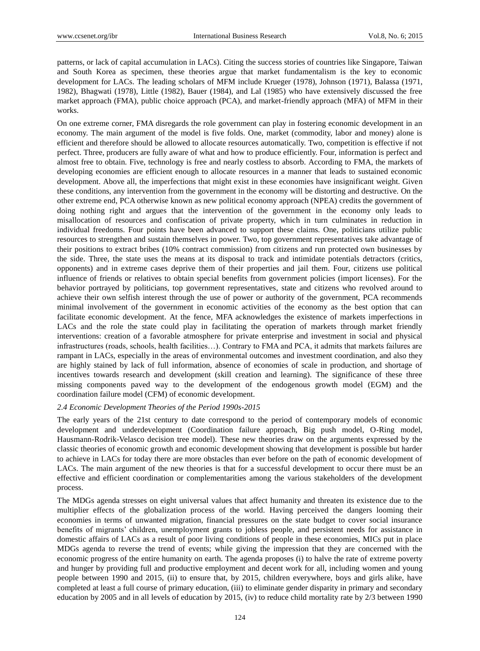patterns, or lack of capital accumulation in LACs). Citing the success stories of countries like Singapore, Taiwan and South Korea as specimen, these theories argue that market fundamentalism is the key to economic development for LACs. The leading scholars of MFM include Krueger (1978), Johnson (1971), Balassa (1971, 1982), Bhagwati (1978), Little (1982), Bauer (1984), and Lal (1985) who have extensively discussed the free market approach (FMA), public choice approach (PCA), and market-friendly approach (MFA) of MFM in their works.

On one extreme corner, FMA disregards the role government can play in fostering economic development in an economy. The main argument of the model is five folds. One, market (commodity, labor and money) alone is efficient and therefore should be allowed to allocate resources automatically. Two, competition is effective if not perfect. Three, producers are fully aware of what and how to produce efficiently. Four, information is perfect and almost free to obtain. Five, technology is free and nearly costless to absorb. According to FMA, the markets of developing economies are efficient enough to allocate resources in a manner that leads to sustained economic development. Above all, the imperfections that might exist in these economies have insignificant weight. Given these conditions, any intervention from the government in the economy will be distorting and destructive. On the other extreme end, PCA otherwise known as new political economy approach (NPEA) credits the government of doing nothing right and argues that the intervention of the government in the economy only leads to misallocation of resources and confiscation of private property, which in turn culminates in reduction in individual freedoms. Four points have been advanced to support these claims. One, politicians utilize public resources to strengthen and sustain themselves in power. Two, top government representatives take advantage of their positions to extract bribes (10% contract commission) from citizens and run protected own businesses by the side. Three, the state uses the means at its disposal to track and intimidate potentials detractors (critics, opponents) and in extreme cases deprive them of their properties and jail them. Four, citizens use political influence of friends or relatives to obtain special benefits from government policies (import licenses). For the behavior portrayed by politicians, top government representatives, state and citizens who revolved around to achieve their own selfish interest through the use of power or authority of the government, PCA recommends minimal involvement of the government in economic activities of the economy as the best option that can facilitate economic development. At the fence, MFA acknowledges the existence of markets imperfections in LACs and the role the state could play in facilitating the operation of markets through market friendly interventions: creation of a favorable atmosphere for private enterprise and investment in social and physical infrastructures (roads, schools, health facilities…). Contrary to FMA and PCA, it admits that markets failures are rampant in LACs, especially in the areas of environmental outcomes and investment coordination, and also they are highly stained by lack of full information, absence of economies of scale in production, and shortage of incentives towards research and development (skill creation and learning). The significance of these three missing components paved way to the development of the endogenous growth model (EGM) and the coordination failure model (CFM) of economic development.

## *2.4 Economic Development Theories of the Period 1990s-2015*

The early years of the 21st century to date correspond to the period of contemporary models of economic development and underdevelopment (Coordination failure approach, Big push model, O-Ring model, Hausmann-Rodrik-Velasco decision tree model). These new theories draw on the arguments expressed by the classic theories of economic growth and economic development showing that development is possible but harder to achieve in LACs for today there are more obstacles than ever before on the path of economic development of LACs. The main argument of the new theories is that for a successful development to occur there must be an effective and efficient coordination or complementarities among the various stakeholders of the development process.

The MDGs agenda stresses on eight universal values that affect humanity and threaten its existence due to the multiplier effects of the globalization process of the world. Having perceived the dangers looming their economies in terms of unwanted migration, financial pressures on the state budget to cover social insurance benefits of migrants" children, unemployment grants to jobless people, and persistent needs for assistance in domestic affairs of LACs as a result of poor living conditions of people in these economies, MICs put in place MDGs agenda to reverse the trend of events; while giving the impression that they are concerned with the economic progress of the entire humanity on earth. The agenda proposes (i) to halve the rate of extreme poverty and hunger by providing full and productive employment and decent work for all, including women and young people between 1990 and 2015, (ii) to ensure that, by 2015, children everywhere, boys and girls alike, have completed at least a full course of primary education, (iii) to eliminate gender disparity in primary and secondary education by 2005 and in all levels of education by 2015, (iv) to reduce child mortality rate by 2/3 between 1990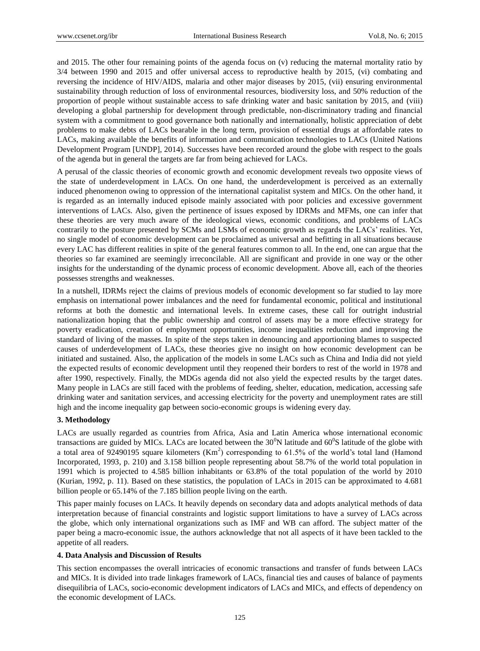and 2015. The other four remaining points of the agenda focus on (v) reducing the maternal mortality ratio by 3/4 between 1990 and 2015 and offer universal access to reproductive health by 2015, (vi) combating and reversing the incidence of HIV/AIDS, malaria and other major diseases by 2015, (vii) ensuring environmental sustainability through reduction of loss of environmental resources, biodiversity loss, and 50% reduction of the proportion of people without sustainable access to safe drinking water and basic sanitation by 2015, and (viii) developing a global partnership for development through predictable, non-discriminatory trading and financial system with a commitment to good governance both nationally and internationally, holistic appreciation of debt problems to make debts of LACs bearable in the long term, provision of essential drugs at affordable rates to LACs, making available the benefits of information and communication technologies to LACs (United Nations Development Program [UNDP], 2014). Successes have been recorded around the globe with respect to the goals of the agenda but in general the targets are far from being achieved for LACs.

A perusal of the classic theories of economic growth and economic development reveals two opposite views of the state of underdevelopment in LACs. On one hand, the underdevelopment is perceived as an externally induced phenomenon owing to oppression of the international capitalist system and MICs. On the other hand, it is regarded as an internally induced episode mainly associated with poor policies and excessive government interventions of LACs. Also, given the pertinence of issues exposed by IDRMs and MFMs, one can infer that these theories are very much aware of the ideological views, economic conditions, and problems of LACs contrarily to the posture presented by SCMs and LSMs of economic growth as regards the LACs" realities. Yet, no single model of economic development can be proclaimed as universal and befitting in all situations because every LAC has different realities in spite of the general features common to all. In the end, one can argue that the theories so far examined are seemingly irreconcilable. All are significant and provide in one way or the other insights for the understanding of the dynamic process of economic development. Above all, each of the theories possesses strengths and weaknesses.

In a nutshell, IDRMs reject the claims of previous models of economic development so far studied to lay more emphasis on international power imbalances and the need for fundamental economic, political and institutional reforms at both the domestic and international levels. In extreme cases, these call for outright industrial nationalization hoping that the public ownership and control of assets may be a more effective strategy for poverty eradication, creation of employment opportunities, income inequalities reduction and improving the standard of living of the masses. In spite of the steps taken in denouncing and apportioning blames to suspected causes of underdevelopment of LACs, these theories give no insight on how economic development can be initiated and sustained. Also, the application of the models in some LACs such as China and India did not yield the expected results of economic development until they reopened their borders to rest of the world in 1978 and after 1990, respectively. Finally, the MDGs agenda did not also yield the expected results by the target dates. Many people in LACs are still faced with the problems of feeding, shelter, education, medication, accessing safe drinking water and sanitation services, and accessing electricity for the poverty and unemployment rates are still high and the income inequality gap between socio-economic groups is widening every day.

## **3. Methodology**

LACs are usually regarded as countries from Africa, Asia and Latin America whose international economic transactions are guided by MICs. LACs are located between the  $30^0$ N latitude and  $60^0$ S latitude of the globe with a total area of 92490195 square kilometers  $(Km^2)$  corresponding to 61.5% of the world's total land (Hamond Incorporated, 1993, p. 210) and 3.158 billion people representing about 58.7% of the world total population in 1991 which is projected to 4.585 billion inhabitants or 63.8% of the total population of the world by 2010 (Kurian, 1992, p. 11). Based on these statistics, the population of LACs in 2015 can be approximated to 4.681 billion people or 65.14% of the 7.185 billion people living on the earth.

This paper mainly focuses on LACs. It heavily depends on secondary data and adopts analytical methods of data interpretation because of financial constraints and logistic support limitations to have a survey of LACs across the globe, which only international organizations such as IMF and WB can afford. The subject matter of the paper being a macro-economic issue, the authors acknowledge that not all aspects of it have been tackled to the appetite of all readers.

## **4. Data Analysis and Discussion of Results**

This section encompasses the overall intricacies of economic transactions and transfer of funds between LACs and MICs. It is divided into trade linkages framework of LACs, financial ties and causes of balance of payments disequilibria of LACs, socio-economic development indicators of LACs and MICs, and effects of dependency on the economic development of LACs.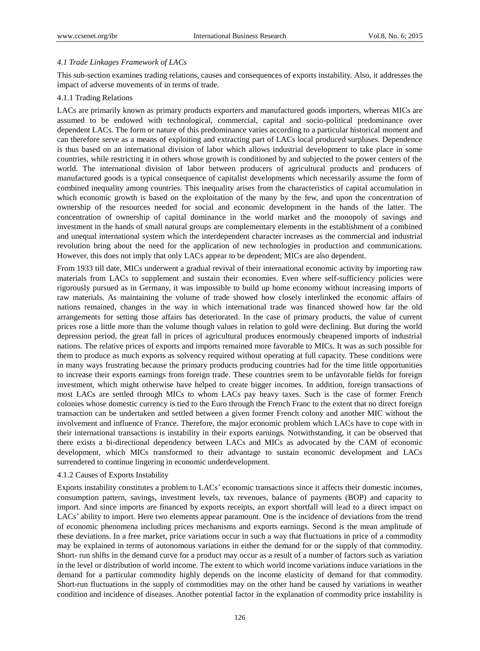# *4.1 Trade Linkages Framework of LACs*

This sub-section examines trading relations, causes and consequences of exports instability. Also, it addresses the impact of adverse movements of in terms of trade.

# 4.1.1 Trading Relations

LACs are primarily known as primary products exporters and manufactured goods importers, whereas MICs are assumed to be endowed with technological, commercial, capital and socio-political predominance over dependent LACs. The form or nature of this predominance varies according to a particular historical moment and can therefore serve as a means of exploiting and extracting part of LACs local produced surpluses. Dependence is thus based on an international division of labor which allows industrial development to take place in some countries, while restricting it in others whose growth is conditioned by and subjected to the power centers of the world. The international division of labor between producers of agricultural products and producers of manufactured goods is a typical consequence of capitalist developments which necessarily assume the form of combined inequality among countries. This inequality arises from the characteristics of capital accumulation in which economic growth is based on the exploitation of the many by the few, and upon the concentration of ownership of the resources needed for social and economic development in the hands of the latter. The concentration of ownership of capital dominance in the world market and the monopoly of savings and investment in the hands of small natural groups are complementary elements in the establishment of a combined and unequal international system which the interdependent character increases as the commercial and industrial revolution bring about the need for the application of new technologies in production and communications. However, this does not imply that only LACs appear to be dependent; MICs are also dependent.

From 1933 till date, MICs underwent a gradual revival of their international economic activity by importing raw materials from LACs to supplement and sustain their economies. Even where self-sufficiency policies were rigorously pursued as in Germany, it was impossible to build up home economy without increasing imports of raw materials. As maintaining the volume of trade showed how closely interlinked the economic affairs of nations remained, changes in the way in which international trade was financed showed how far the old arrangements for setting those affairs has deteriorated. In the case of primary products, the value of current prices rose a little more than the volume though values in relation to gold were declining. But during the world depression period, the great fall in prices of agricultural produces enormously cheapened imports of industrial nations. The relative prices of exports and imports remained more favorable to MICs. It was as such possible for them to produce as much exports as solvency required without operating at full capacity. These conditions were in many ways frustrating because the primary products producing countries had for the time little opportunities to increase their exports earnings from foreign trade. These countries seem to be unfavorable fields for foreign investment, which might otherwise have helped to create bigger incomes. In addition, foreign transactions of most LACs are settled through MICs to whom LACs pay heavy taxes. Such is the case of former French colonies whose domestic currency is tied to the Euro through the French Franc to the extent that no direct foreign transaction can be undertaken and settled between a given former French colony and another MIC without the involvement and influence of France. Therefore, the major economic problem which LACs have to cope with in their international transactions is instability in their exports earnings. Notwithstanding, it can be observed that there exists a bi-directional dependency between LACs and MICs as advocated by the CAM of economic development, which MICs transformed to their advantage to sustain economic development and LACs surrendered to continue lingering in economic underdevelopment.

## 4.1.2 Causes of Exports Instability

Exports instability constitutes a problem to LACs" economic transactions since it affects their domestic incomes, consumption pattern, savings, investment levels, tax revenues, balance of payments (BOP) and capacity to import. And since imports are financed by exports receipts, an export shortfall will lead to a direct impact on LACs" ability to import. Here two elements appear paramount. One is the incidence of deviations from the trend of economic phenomena including prices mechanisms and exports earnings. Second is the mean amplitude of these deviations. In a free market, price variations occur in such a way that fluctuations in price of a commodity may be explained in terms of autonomous variations in either the demand for or the supply of that commodity. Short- run shifts in the demand curve for a product may occur as a result of a number of factors such as variation in the level or distribution of world income. The extent to which world income variations induce variations in the demand for a particular commodity highly depends on the income elasticity of demand for that commodity. Short-run fluctuations in the supply of commodities may on the other hand be caused by variations in weather condition and incidence of diseases. Another potential factor in the explanation of commodity price instability is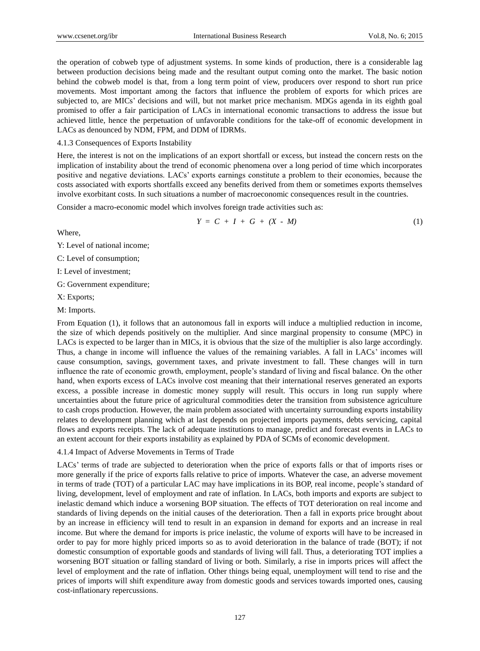the operation of cobweb type of adjustment systems. In some kinds of production, there is a considerable lag between production decisions being made and the resultant output coming onto the market. The basic notion behind the cobweb model is that, from a long term point of view, producers over respond to short run price movements. Most important among the factors that influence the problem of exports for which prices are subjected to, are MICs' decisions and will, but not market price mechanism. MDGs agenda in its eighth goal promised to offer a fair participation of LACs in international economic transactions to address the issue but achieved little, hence the perpetuation of unfavorable conditions for the take-off of economic development in LACs as denounced by NDM, FPM, and DDM of IDRMs.

## 4.1.3 Consequences of Exports Instability

Here, the interest is not on the implications of an export shortfall or excess, but instead the concern rests on the implication of instability about the trend of economic phenomena over a long period of time which incorporates positive and negative deviations. LACs" exports earnings constitute a problem to their economies, because the costs associated with exports shortfalls exceed any benefits derived from them or sometimes exports themselves involve exorbitant costs. In such situations a number of macroeconomic consequences result in the countries.

Consider a macro-economic model which involves foreign trade activities such as:

$$
Y = C + I + G + (X - M) \tag{1}
$$

Where,

Y: Level of national income;

C: Level of consumption;

I: Level of investment;

G: Government expenditure;

X: Exports;

M: Imports.

From Equation (1), it follows that an autonomous fall in exports will induce a multiplied reduction in income, the size of which depends positively on the multiplier. And since marginal propensity to consume (MPC) in LACs is expected to be larger than in MICs, it is obvious that the size of the multiplier is also large accordingly. Thus, a change in income will influence the values of the remaining variables. A fall in LACs" incomes will cause consumption, savings, government taxes, and private investment to fall. These changes will in turn influence the rate of economic growth, employment, people"s standard of living and fiscal balance. On the other hand, when exports excess of LACs involve cost meaning that their international reserves generated an exports excess, a possible increase in domestic money supply will result. This occurs in long run supply where uncertainties about the future price of agricultural commodities deter the transition from subsistence agriculture to cash crops production. However, the main problem associated with uncertainty surrounding exports instability relates to development planning which at last depends on projected imports payments, debts servicing, capital flows and exports receipts. The lack of adequate institutions to manage, predict and forecast events in LACs to an extent account for their exports instability as explained by PDA of SCMs of economic development.

4.1.4 Impact of Adverse Movements in Terms of Trade

LACs' terms of trade are subjected to deterioration when the price of exports falls or that of imports rises or more generally if the price of exports falls relative to price of imports. Whatever the case, an adverse movement in terms of trade (TOT) of a particular LAC may have implications in its BOP, real income, people"s standard of living, development, level of employment and rate of inflation. In LACs, both imports and exports are subject to inelastic demand which induce a worsening BOP situation. The effects of TOT deterioration on real income and standards of living depends on the initial causes of the deterioration. Then a fall in exports price brought about by an increase in efficiency will tend to result in an expansion in demand for exports and an increase in real income. But where the demand for imports is price inelastic, the volume of exports will have to be increased in order to pay for more highly priced imports so as to avoid deterioration in the balance of trade (BOT); if not domestic consumption of exportable goods and standards of living will fall. Thus, a deteriorating TOT implies a worsening BOT situation or falling standard of living or both. Similarly, a rise in imports prices will affect the level of employment and the rate of inflation. Other things being equal, unemployment will tend to rise and the prices of imports will shift expenditure away from domestic goods and services towards imported ones, causing cost-inflationary repercussions.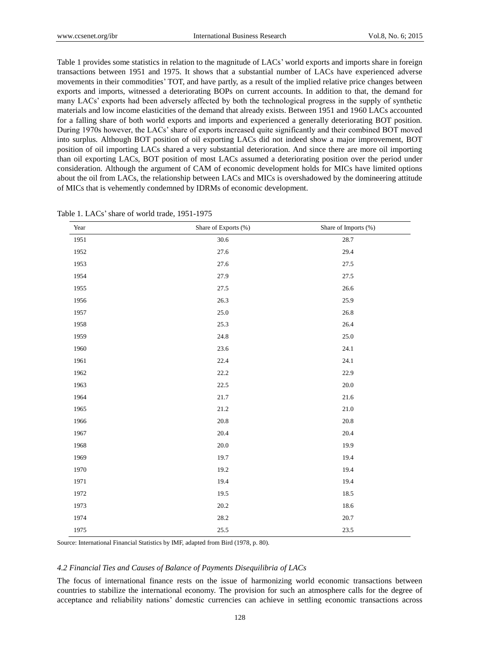Table 1 provides some statistics in relation to the magnitude of LACs' world exports and imports share in foreign transactions between 1951 and 1975. It shows that a substantial number of LACs have experienced adverse movements in their commodities" TOT, and have partly, as a result of the implied relative price changes between exports and imports, witnessed a deteriorating BOPs on current accounts. In addition to that, the demand for many LACs" exports had been adversely affected by both the technological progress in the supply of synthetic materials and low income elasticities of the demand that already exists. Between 1951 and 1960 LACs accounted for a falling share of both world exports and imports and experienced a generally deteriorating BOT position. During 1970s however, the LACs" share of exports increased quite significantly and their combined BOT moved into surplus. Although BOT position of oil exporting LACs did not indeed show a major improvement, BOT position of oil importing LACs shared a very substantial deterioration. And since there are more oil importing than oil exporting LACs, BOT position of most LACs assumed a deteriorating position over the period under consideration. Although the argument of CAM of economic development holds for MICs have limited options about the oil from LACs, the relationship between LACs and MICs is overshadowed by the domineering attitude of MICs that is vehemently condemned by IDRMs of economic development.

| Year | Share of Exports (%) | Share of Imports (%) |  |
|------|----------------------|----------------------|--|
| 1951 | $30.6\,$             | 28.7                 |  |
| 1952 | 27.6                 | 29.4                 |  |
| 1953 | 27.6                 | 27.5                 |  |
| 1954 | 27.9                 | 27.5                 |  |
| 1955 | 27.5                 | 26.6                 |  |
| 1956 | 26.3                 | 25.9                 |  |
| 1957 | 25.0                 | 26.8                 |  |
| 1958 | 25.3                 | 26.4                 |  |
| 1959 | 24.8                 | 25.0                 |  |
| 1960 | 23.6                 | 24.1                 |  |
| 1961 | 22.4                 | 24.1                 |  |
| 1962 | 22.2                 | 22.9                 |  |
| 1963 | 22.5                 | 20.0                 |  |
| 1964 | 21.7                 | 21.6                 |  |
| 1965 | 21.2                 | 21.0                 |  |
| 1966 | 20.8                 | 20.8                 |  |
| 1967 | 20.4                 | 20.4                 |  |
| 1968 | $20.0\,$             | 19.9                 |  |
| 1969 | 19.7                 | 19.4                 |  |
| 1970 | 19.2                 | 19.4                 |  |
| 1971 | 19.4                 | 19.4                 |  |
| 1972 | 19.5                 | 18.5                 |  |
| 1973 | $20.2\,$             | 18.6                 |  |
| 1974 | 28.2                 | 20.7                 |  |
| 1975 | 25.5                 | 23.5                 |  |

Table 1. LACs' share of world trade, 1951-1975

Source: International Financial Statistics by IMF, adapted from Bird (1978, p. 80).

#### *4.2 Financial Ties and Causes of Balance of Payments Disequilibria of LACs*

The focus of international finance rests on the issue of harmonizing world economic transactions between countries to stabilize the international economy. The provision for such an atmosphere calls for the degree of acceptance and reliability nations" domestic currencies can achieve in settling economic transactions across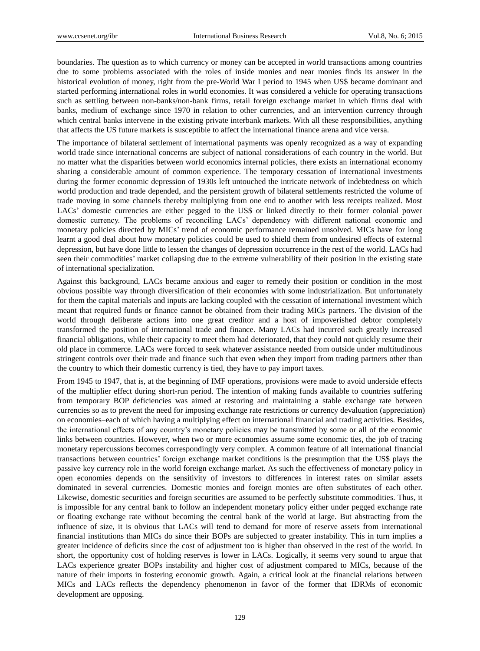boundaries. The question as to which currency or money can be accepted in world transactions among countries due to some problems associated with the roles of inside monies and near monies finds its answer in the historical evolution of money, right from the pre-World War I period to 1945 when US\$ became dominant and started performing international roles in world economies. It was considered a vehicle for operating transactions such as settling between non-banks/non-bank firms, retail foreign exchange market in which firms deal with banks, medium of exchange since 1970 in relation to other currencies, and an intervention currency through which central banks intervene in the existing private interbank markets. With all these responsibilities, anything that affects the US future markets is susceptible to affect the international finance arena and vice versa.

The importance of bilateral settlement of international payments was openly recognized as a way of expanding world trade since international concerns are subject of national considerations of each country in the world. But no matter what the disparities between world economics internal policies, there exists an international economy sharing a considerable amount of common experience. The temporary cessation of international investments during the former economic depression of 1930s left untouched the intricate network of indebtedness on which world production and trade depended, and the persistent growth of bilateral settlements restricted the volume of trade moving in some channels thereby multiplying from one end to another with less receipts realized. Most LACs" domestic currencies are either pegged to the US\$ or linked directly to their former colonial power domestic currency. The problems of reconciling LACs" dependency with different national economic and monetary policies directed by MICs" trend of economic performance remained unsolved. MICs have for long learnt a good deal about how monetary policies could be used to shield them from undesired effects of external depression, but have done little to lessen the changes of depression occurrence in the rest of the world. LACs had seen their commodities' market collapsing due to the extreme vulnerability of their position in the existing state of international specialization.

Against this background, LACs became anxious and eager to remedy their position or condition in the most obvious possible way through diversification of their economies with some industrialization. But unfortunately for them the capital materials and inputs are lacking coupled with the cessation of international investment which meant that required funds or finance cannot be obtained from their trading MICs partners. The division of the world through deliberate actions into one great creditor and a host of impoverished debtor completely transformed the position of international trade and finance. Many LACs had incurred such greatly increased financial obligations, while their capacity to meet them had deteriorated, that they could not quickly resume their old place in commerce. LACs were forced to seek whatever assistance needed from outside under multitudinous stringent controls over their trade and finance such that even when they import from trading partners other than the country to which their domestic currency is tied, they have to pay import taxes.

From 1945 to 1947, that is, at the beginning of IMF operations, provisions were made to avoid underside effects of the multiplier effect during short-run period. The intention of making funds available to countries suffering from temporary BOP deficiencies was aimed at restoring and maintaining a stable exchange rate between currencies so as to prevent the need for imposing exchange rate restrictions or currency devaluation (appreciation) on economies–each of which having a multiplying effect on international financial and trading activities. Besides, the international effects of any country"s monetary policies may be transmitted by some or all of the economic links between countries. However, when two or more economies assume some economic ties, the job of tracing monetary repercussions becomes correspondingly very complex. A common feature of all international financial transactions between countries" foreign exchange market conditions is the presumption that the US\$ plays the passive key currency role in the world foreign exchange market. As such the effectiveness of monetary policy in open economies depends on the sensitivity of investors to differences in interest rates on similar assets dominated in several currencies. Domestic monies and foreign monies are often substitutes of each other. Likewise, domestic securities and foreign securities are assumed to be perfectly substitute commodities. Thus, it is impossible for any central bank to follow an independent monetary policy either under pegged exchange rate or floating exchange rate without becoming the central bank of the world at large. But abstracting from the influence of size, it is obvious that LACs will tend to demand for more of reserve assets from international financial institutions than MICs do since their BOPs are subjected to greater instability. This in turn implies a greater incidence of deficits since the cost of adjustment too is higher than observed in the rest of the world. In short, the opportunity cost of holding reserves is lower in LACs. Logically, it seems very sound to argue that LACs experience greater BOPs instability and higher cost of adjustment compared to MICs, because of the nature of their imports in fostering economic growth. Again, a critical look at the financial relations between MICs and LACs reflects the dependency phenomenon in favor of the former that IDRMs of economic development are opposing.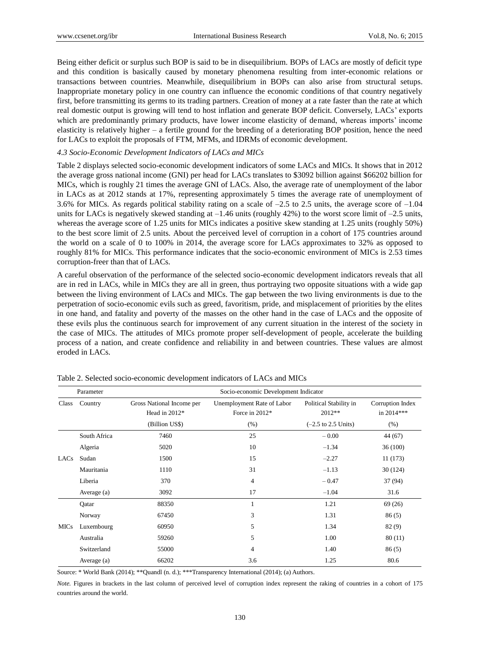Being either deficit or surplus such BOP is said to be in disequilibrium. BOPs of LACs are mostly of deficit type and this condition is basically caused by monetary phenomena resulting from inter-economic relations or transactions between countries. Meanwhile, disequilibrium in BOPs can also arise from structural setups. Inappropriate monetary policy in one country can influence the economic conditions of that country negatively first, before transmitting its germs to its trading partners. Creation of money at a rate faster than the rate at which real domestic output is growing will tend to host inflation and generate BOP deficit. Conversely, LACs" exports which are predominantly primary products, have lower income elasticity of demand, whereas imports' income elasticity is relatively higher – a fertile ground for the breeding of a deteriorating BOP position, hence the need for LACs to exploit the proposals of FTM, MFMs, and IDRMs of economic development.

#### *4.3 Socio-Economic Development Indicators of LACs and MICs*

Table 2 displays selected socio-economic development indicators of some LACs and MICs. It shows that in 2012 the average gross national income (GNI) per head for LACs translates to \$3092 billion against \$66202 billion for MICs, which is roughly 21 times the average GNI of LACs. Also, the average rate of unemployment of the labor in LACs as at 2012 stands at 17%, representing approximately 5 times the average rate of unemployment of 3.6% for MICs. As regards political stability rating on a scale of –2.5 to 2.5 units, the average score of –1.04 units for LACs is negatively skewed standing at  $-1.46$  units (roughly 42%) to the worst score limit of  $-2.5$  units, whereas the average score of 1.25 units for MICs indicates a positive skew standing at 1.25 units (roughly 50%) to the best score limit of 2.5 units. About the perceived level of corruption in a cohort of 175 countries around the world on a scale of 0 to 100% in 2014, the average score for LACs approximates to 32% as opposed to roughly 81% for MICs. This performance indicates that the socio-economic environment of MICs is 2.53 times corruption-freer than that of LACs.

A careful observation of the performance of the selected socio-economic development indicators reveals that all are in red in LACs, while in MICs they are all in green, thus portraying two opposite situations with a wide gap between the living environment of LACs and MICs. The gap between the two living environments is due to the perpetration of socio-economic evils such as greed, favoritism, pride, and misplacement of priorities by the elites in one hand, and fatality and poverty of the masses on the other hand in the case of LACs and the opposite of these evils plus the continuous search for improvement of any current situation in the interest of the society in the case of MICs. The attitudes of MICs promote proper self-development of people, accelerate the building process of a nation, and create confidence and reliability in and between countries. These values are almost eroded in LACs.

|             | Parameter    |                           | Socio-economic Development Indicator |                                        |                  |
|-------------|--------------|---------------------------|--------------------------------------|----------------------------------------|------------------|
| Class       | Country      | Gross National Income per | Unemployment Rate of Labor           | Political Stability in                 | Corruption Index |
|             |              | Head in 2012*             | Force in 2012*                       | $2012**$                               | in 2014***       |
|             |              | (Billion US\$)            | (% )                                 | $(-2.5 \text{ to } 2.5 \text{ Units})$ | (% )             |
|             | South Africa | 7460                      | 25                                   | $-0.00$                                | 44 (67)          |
|             | Algeria      | 5020                      | 10                                   | $-1.34$                                | 36(100)          |
| LACs        | Sudan        | 1500                      | 15                                   | $-2.27$                                | 11(173)          |
|             | Mauritania   | 1110                      | 31                                   | $-1.13$                                | 30(124)          |
|             | Liberia      | 370                       | 4                                    | $-0.47$                                | 37 (94)          |
|             | Average (a)  | 3092                      | 17                                   | $-1.04$                                | 31.6             |
|             | Oatar        | 88350                     |                                      | 1.21                                   | 69(26)           |
|             | Norway       | 67450                     | 3                                    | 1.31                                   | 86(5)            |
| <b>MICs</b> | Luxembourg   | 60950                     | 5                                    | 1.34                                   | 82(9)            |
|             | Australia    | 59260                     | 5                                    | 1.00                                   | 80(11)           |
|             | Switzerland  | 55000                     | $\overline{4}$                       | 1.40                                   | 86(5)            |
|             | Average (a)  | 66202                     | 3.6                                  | 1.25                                   | 80.6             |

Table 2. Selected socio-economic development indicators of LACs and MICs

Source: \* World Bank (2014); \*\*Quandl (n. d.); \*\*\*Transparency International (2014); (a) Authors.

*Note.* Figures in brackets in the last column of perceived level of corruption index represent the raking of countries in a cohort of 175 countries around the world.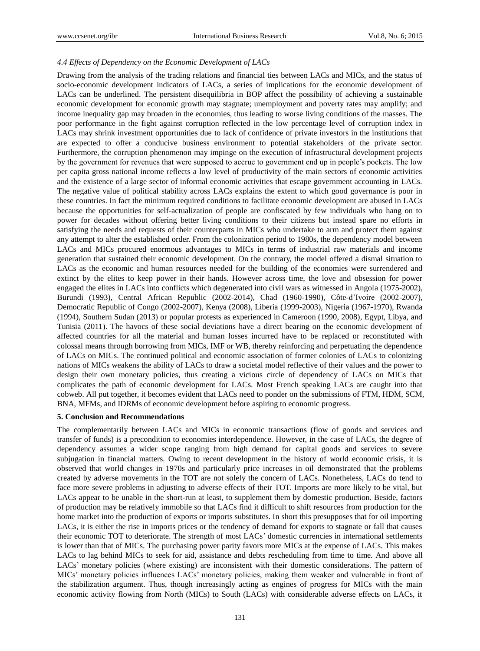#### *4.4 Effects of Dependency on the Economic Development of LACs*

Drawing from the analysis of the trading relations and financial ties between LACs and MICs, and the status of socio-economic development indicators of LACs, a series of implications for the economic development of LACs can be underlined. The persistent disequilibria in BOP affect the possibility of achieving a sustainable economic development for economic growth may stagnate; unemployment and poverty rates may amplify; and income inequality gap may broaden in the economies, thus leading to worse living conditions of the masses. The poor performance in the fight against corruption reflected in the low percentage level of corruption index in LACs may shrink investment opportunities due to lack of confidence of private investors in the institutions that are expected to offer a conducive business environment to potential stakeholders of the private sector. Furthermore, the corruption phenomenon may impinge on the execution of infrastructural development projects by the government for revenues that were supposed to accrue to government end up in people"s pockets. The low per capita gross national income reflects a low level of productivity of the main sectors of economic activities and the existence of a large sector of informal economic activities that escape government accounting in LACs. The negative value of political stability across LACs explains the extent to which good governance is poor in these countries. In fact the minimum required conditions to facilitate economic development are abused in LACs because the opportunities for self-actualization of people are confiscated by few individuals who hang on to power for decades without offering better living conditions to their citizens but instead spare no efforts in satisfying the needs and requests of their counterparts in MICs who undertake to arm and protect them against any attempt to alter the established order. From the colonization period to 1980s, the dependency model between LACs and MICs procured enormous advantages to MICs in terms of industrial raw materials and income generation that sustained their economic development. On the contrary, the model offered a dismal situation to LACs as the economic and human resources needed for the building of the economies were surrendered and extinct by the elites to keep power in their hands. However across time, the love and obsession for power engaged the elites in LACs into conflicts which degenerated into civil wars as witnessed in Angola (1975-2002), Burundi (1993), Central African Republic (2002-2014), Chad (1960-1990), Côte-d"Ivoire (2002-2007), Democratic Republic of Congo (2002-2007), Kenya (2008), Liberia (1999-2003), Nigeria (1967-1970), Rwanda (1994), Southern Sudan (2013) or popular protests as experienced in Cameroon (1990, 2008), Egypt, Libya, and Tunisia (2011). The havocs of these social deviations have a direct bearing on the economic development of affected countries for all the material and human losses incurred have to be replaced or reconstituted with colossal means through borrowing from MICs, IMF or WB, thereby reinforcing and perpetuating the dependence of LACs on MICs. The continued political and economic association of former colonies of LACs to colonizing nations of MICs weakens the ability of LACs to draw a societal model reflective of their values and the power to design their own monetary policies, thus creating a vicious circle of dependency of LACs on MICs that complicates the path of economic development for LACs. Most French speaking LACs are caught into that cobweb. All put together, it becomes evident that LACs need to ponder on the submissions of FTM, HDM, SCM, BNA, MFMs, and IDRMs of economic development before aspiring to economic progress.

#### **5. Conclusion and Recommendations**

The complementarily between LACs and MICs in economic transactions (flow of goods and services and transfer of funds) is a precondition to economies interdependence. However, in the case of LACs, the degree of dependency assumes a wider scope ranging from high demand for capital goods and services to severe subjugation in financial matters. Owing to recent development in the history of world economic crisis, it is observed that world changes in 1970s and particularly price increases in oil demonstrated that the problems created by adverse movements in the TOT are not solely the concern of LACs. Nonetheless, LACs do tend to face more severe problems in adjusting to adverse effects of their TOT. Imports are more likely to be vital, but LACs appear to be unable in the short-run at least, to supplement them by domestic production. Beside, factors of production may be relatively immobile so that LACs find it difficult to shift resources from production for the home market into the production of exports or imports substitutes. In short this presupposes that for oil importing LACs, it is either the rise in imports prices or the tendency of demand for exports to stagnate or fall that causes their economic TOT to deteriorate. The strength of most LACs" domestic currencies in international settlements is lower than that of MICs. The purchasing power parity favors more MICs at the expense of LACs. This makes LACs to lag behind MICs to seek for aid, assistance and debts rescheduling from time to time. And above all LACs" monetary policies (where existing) are inconsistent with their domestic considerations. The pattern of MICs" monetary policies influences LACs" monetary policies, making them weaker and vulnerable in front of the stabilization argument. Thus, though increasingly acting as engines of progress for MICs with the main economic activity flowing from North (MICs) to South (LACs) with considerable adverse effects on LACs, it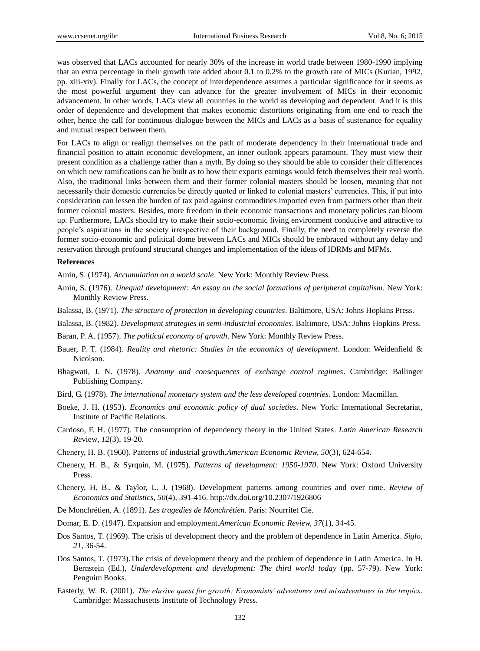was observed that LACs accounted for nearly 30% of the increase in world trade between 1980-1990 implying that an extra percentage in their growth rate added about 0.1 to 0.2% to the growth rate of MICs (Kurian, 1992, pp. xiii-xiv). Finally for LACs, the concept of interdependence assumes a particular significance for it seems as the most powerful argument they can advance for the greater involvement of MICs in their economic advancement. In other words, LACs view all countries in the world as developing and dependent. And it is this order of dependence and development that makes economic distortions originating from one end to reach the other, hence the call for continuous dialogue between the MICs and LACs as a basis of sustenance for equality and mutual respect between them.

For LACs to align or realign themselves on the path of moderate dependency in their international trade and financial position to attain economic development, an inner outlook appears paramount. They must view their present condition as a challenge rather than a myth. By doing so they should be able to consider their differences on which new ramifications can be built as to how their exports earnings would fetch themselves their real worth. Also, the traditional links between them and their former colonial masters should be loosen, meaning that not necessarily their domestic currencies be directly quoted or linked to colonial masters" currencies. This, if put into consideration can lessen the burden of tax paid against commodities imported even from partners other than their former colonial masters. Besides, more freedom in their economic transactions and monetary policies can bloom up. Furthermore, LACs should try to make their socio-economic living environment conducive and attractive to people"s aspirations in the society irrespective of their background. Finally, the need to completely reverse the former socio-economic and political dome between LACs and MICs should be embraced without any delay and reservation through profound structural changes and implementation of the ideas of IDRMs and MFMs.

#### **References**

Amin, S. (1974). *Accumulation on a world scale*. New York: Monthly Review Press.

- Amin, S. (1976). *Unequal development: An essay on the social formations of peripheral capitalism*. New York: Monthly Review Press.
- Balassa, B. (1971). *The structure of protection in developing countries*. Baltimore, USA: Johns Hopkins Press.
- Balassa, B. (1982). *Development strategies in semi-industrial economies*. Baltimore, USA: Johns Hopkins Press.
- Baran, P. A. (1957). *The political economy of growth*. New York: Monthly Review Press.
- Bauer, P. T. (1984). *Reality and rhetoric: Studies in the economics of development*. London: Weidenfield & Nicolson.
- Bhagwati, J. N. (1978). *Anatomy and consequences of exchange control regimes*. Cambridge: Ballinger Publishing Company.
- Bird, G. (1978). *The international monetary system and the less developed countries*. London: Macmillan.
- Boeke, J. H. (1953). *Economics and economic policy of dual societies*. New York: International Secretariat, Institute of Pacific Relations.
- Cardoso, F. H. (1977). The consumption of dependency theory in the United States. *Latin American Research Re*view*, 12*(3), 19-20.
- Chenery, H. B. (1960). Patterns of industrial growth.*American Economic Review, 50*(3), 624-654.
- Chenery, H. B., & Syrquin, M. (1975). *Patterns of development: 1950-1970*. New York: Oxford University Press.
- Chenery, H. B., & Taylor, L. J. (1968). Development patterns among countries and over time. *Review of Economics and Statistics, 50*(4), 391-416. http://dx.doi.org/10.2307/1926806
- De Monchrétien, A. (1891). *Les tragedies de Monchrétien*. Paris: Nourritet Cie.
- Domar, E. D. (1947). Expansion and employment.*American Economic Review, 37*(1), 34-45.
- Dos Santos, T. (1969). The crisis of development theory and the problem of dependence in Latin America. *Siglo, 21*, 36-54.
- Dos Santos, T. (1973).The crisis of development theory and the problem of dependence in Latin America. In H. Bernstein (Ed.), *Underdevelopment and development: The third world today* (pp. 57-79). New York: Penguim Books.
- Easterly, W. R. (2001). *The elusive quest for growth: Economists' adventures and misadventures in the tropics*. Cambridge: Massachusetts Institute of Technology Press.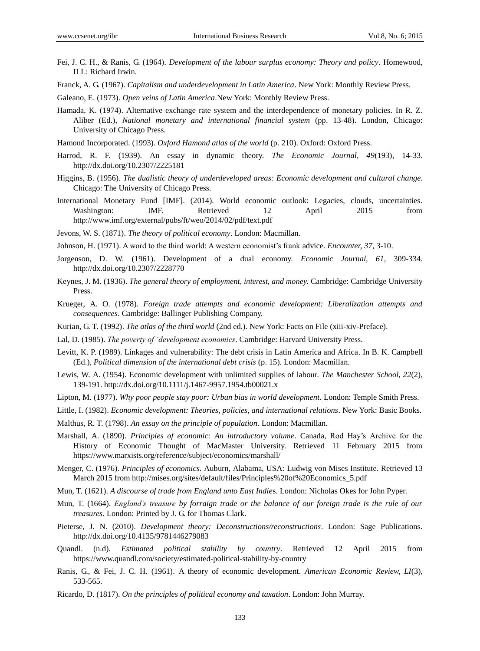- Fei, J. C. H., & Ranis, G. (1964). *Development of the labour surplus economy: Theory and policy*. Homewood, ILL: Richard Irwin.
- Franck, A. G. (1967). *Capitalism and underdevelopment in Latin America*. New York: Monthly Review Press.
- Galeano, E. (1973). *Open veins of Latin America*.New York: Monthly Review Press.
- Hamada, K. (1974). Alternative exchange rate system and the interdependence of monetary policies. In R. Z. Aliber (Ed.), *National monetary and international financial system* (pp. 13-48). London, Chicago: University of Chicago Press.
- Hamond Incorporated. (1993). *Oxford Hamond atlas of the world* (p. 210). Oxford: Oxford Press.
- Harrod, R. F. (1939). An essay in dynamic theory. *The Economic Journal, 49*(193), 14-33. http://dx.doi.org/10.2307/2225181
- Higgins, B. (1956). *The dualistic theory of underdeveloped areas: Economic development and cultural change*. Chicago: The University of Chicago Press.
- International Monetary Fund [IMF]. (2014). World economic outlook: Legacies, clouds, uncertainties. Washington: IMF. Retrieved 12 April 2015 from http://www.imf.org/external/pubs/ft/weo/2014/02/pdf/text.pdf
- Jevons, W. S. (1871). *The theory of political economy*. London: Macmillan.
- Johnson, H. (1971). A word to the third world: A western economist"s frank advice. *Encounter, 37*, 3-10.
- Jorgenson, D. W. (1961). Development of a dual economy. *Economic Journal, 61*, 309-334. http://dx.doi.org/10.2307/2228770
- Keynes, J. M. (1936). *The general theory of employment, interest, and money.* Cambridge: Cambridge University Press.
- Krueger, A. O. (1978). *Foreign trade attempts and economic development: Liberalization attempts and consequences*. Cambridge: Ballinger Publishing Company.
- Kurian, G. T. (1992). *The atlas of the third world* (2nd ed.). New York: Facts on File (xiii-xiv-Preface).
- Lal, D. (1985). *The poverty of 'development economics*. Cambridge: Harvard University Press.
- Levitt, K. P. (1989). Linkages and vulnerability: The debt crisis in Latin America and Africa. In B. K. Campbell (Ed.), *Political dimension of the international debt crisis* (p. 15). London: Macmillan.
- Lewis, W. A. (1954). Economic development with unlimited supplies of labour. *The Manchester School, 22*(2), 139-191. http://dx.doi.org/10.1111/j.1467-9957.1954.tb00021.x
- Lipton, M. (1977). *Why poor people stay poor: Urban bias in world development*. London: Temple Smith Press.
- Little, I. (1982). *Economic development: Theories, policies, and international relations*. New York: Basic Books.
- Malthus, R. T. (1798). *An essay on the principle of population.* London: Macmillan.
- Marshall, A. (1890). *Principles of economic: An introductory volume*. Canada, Rod Hay"s Archive for the History of Economic Thought of MacMaster University. Retrieved 11 February 2015 from https://www.marxists.org/reference/subject/economics/marshall/
- Menger, C. (1976). *Principles of economics.* Auburn, Alabama, USA: Ludwig von Mises Institute. Retrieved 13 March 2015 from http://mises.org/sites/default/files/Principles%20of%20Economics\_5.pdf
- Mun, T. (1621). *A discourse of trade from England unto East Indie*s. London: Nicholas Okes for John Pyper.
- Mun, T. (1664). *England's treasure by forraign trade or the balance of our foreign trade is the rule of our treasures.* London: Printed by J. G. for Thomas Clark.
- Pieterse, J. N. (2010). *Development theory: Deconstructions/reconstructions*. London: Sage Publications. http://dx.doi.org/10.4135/9781446279083
- Quandl. (n.d). *Estimated political stability by country*. Retrieved 12 April 2015 from https://www.quandl.com/society/estimated-political-stability-by-country
- Ranis, G., & Fei, J. C. H. (1961). A theory of economic development. *American Economic Review, LI*(3), 533-565.
- Ricardo, D. (1817). *On the principles of political economy and taxation*. London: John Murray.